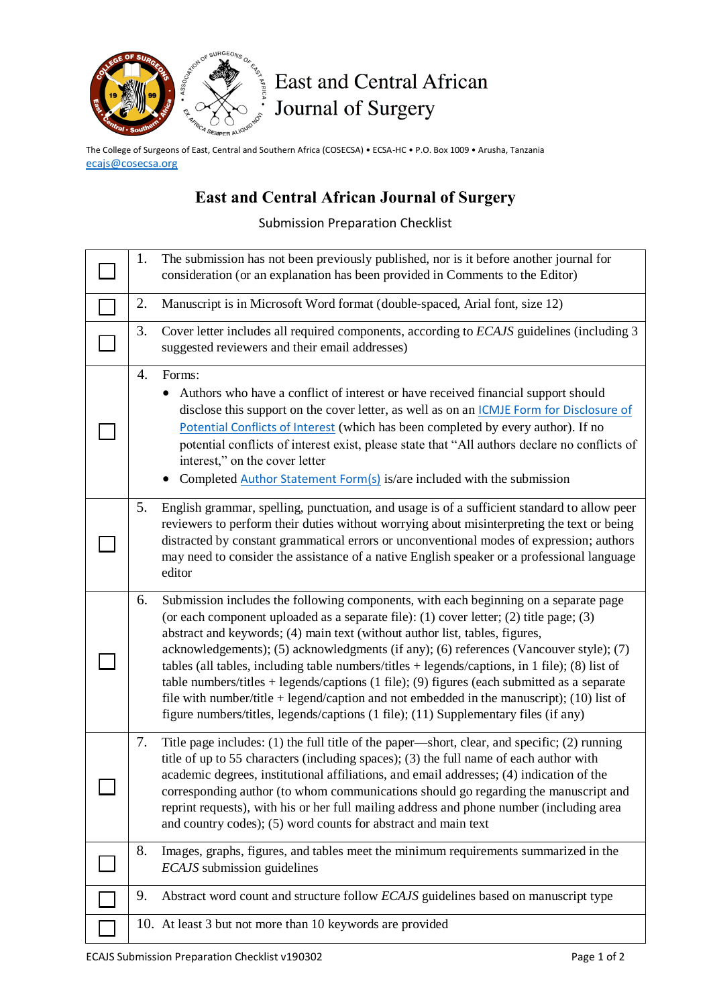

## East and Central African Journal of Surgery

The College of Surgeons of East, Central and Southern Africa (COSECSA) • ECSA-HC • P.O. Box 1009 • Arusha, Tanzania [ecajs@cosecsa.org](mailto:ecajs@cosecsa.org)

## **East and Central African Journal of Surgery**

Submission Preparation Checklist

| 1. | The submission has not been previously published, nor is it before another journal for<br>consideration (or an explanation has been provided in Comments to the Editor)                                                                                                                                                                                                                                                                                                                                                                                                                                                                                                                                                                                     |
|----|-------------------------------------------------------------------------------------------------------------------------------------------------------------------------------------------------------------------------------------------------------------------------------------------------------------------------------------------------------------------------------------------------------------------------------------------------------------------------------------------------------------------------------------------------------------------------------------------------------------------------------------------------------------------------------------------------------------------------------------------------------------|
| 2. | Manuscript is in Microsoft Word format (double-spaced, Arial font, size 12)                                                                                                                                                                                                                                                                                                                                                                                                                                                                                                                                                                                                                                                                                 |
| 3. | Cover letter includes all required components, according to <i>ECAJS</i> guidelines (including 3<br>suggested reviewers and their email addresses)                                                                                                                                                                                                                                                                                                                                                                                                                                                                                                                                                                                                          |
| 4. | Forms:<br>Authors who have a conflict of interest or have received financial support should<br>disclose this support on the cover letter, as well as on an <i>CCMJE</i> Form for Disclosure of<br>Potential Conflicts of Interest (which has been completed by every author). If no<br>potential conflicts of interest exist, please state that "All authors declare no conflicts of<br>interest," on the cover letter<br>Completed Author Statement Form(s) is/are included with the submission                                                                                                                                                                                                                                                            |
| 5. | English grammar, spelling, punctuation, and usage is of a sufficient standard to allow peer<br>reviewers to perform their duties without worrying about misinterpreting the text or being<br>distracted by constant grammatical errors or unconventional modes of expression; authors<br>may need to consider the assistance of a native English speaker or a professional language<br>editor                                                                                                                                                                                                                                                                                                                                                               |
| 6. | Submission includes the following components, with each beginning on a separate page<br>(or each component uploaded as a separate file): (1) cover letter; (2) title page; (3)<br>abstract and keywords; (4) main text (without author list, tables, figures,<br>acknowledgements); (5) acknowledgments (if any); (6) references (Vancouver style); (7)<br>tables (all tables, including table numbers/titles $+$ legends/captions, in 1 file); (8) list of<br>table numbers/titles + legends/captions $(1 \text{ file})$ ; $(9)$ figures (each submitted as a separate<br>file with number/title + legend/caption and not embedded in the manuscript); (10) list of<br>figure numbers/titles, legends/captions (1 file); (11) Supplementary files (if any) |
| 7. | Title page includes: (1) the full title of the paper—short, clear, and specific; (2) running<br>title of up to 55 characters (including spaces); (3) the full name of each author with<br>academic degrees, institutional affiliations, and email addresses; (4) indication of the<br>corresponding author (to whom communications should go regarding the manuscript and<br>reprint requests), with his or her full mailing address and phone number (including area<br>and country codes); (5) word counts for abstract and main text                                                                                                                                                                                                                     |
| 8. | Images, graphs, figures, and tables meet the minimum requirements summarized in the<br>ECAJS submission guidelines                                                                                                                                                                                                                                                                                                                                                                                                                                                                                                                                                                                                                                          |
| 9. | Abstract word count and structure follow ECAJS guidelines based on manuscript type                                                                                                                                                                                                                                                                                                                                                                                                                                                                                                                                                                                                                                                                          |
|    | 10. At least 3 but not more than 10 keywords are provided                                                                                                                                                                                                                                                                                                                                                                                                                                                                                                                                                                                                                                                                                                   |
|    |                                                                                                                                                                                                                                                                                                                                                                                                                                                                                                                                                                                                                                                                                                                                                             |